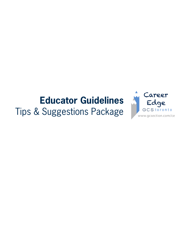# **Educator Guidelines**

Tips & Suggestions Package

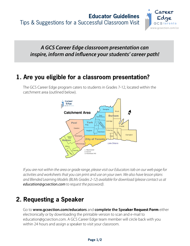

### *A GCS Career Edge classroom presentation can inspire, inform and influence your students' career path!*

### **1. Are you eligible for a classroom presentation?**

The GCS Career Edge program caters to students in Grades 7-12, located within the catchment area (outlined below).



*If you are not within the area or grade range, please visit our Educators tab on our web page for activities and worksheets that you can print and use on your own. We also have lesson plans and Blended Learning Models (BLMs Grades 2-12) available for download (please contact us at education@gcsection.com to request the password).*

## **2. Requesting a Speaker**

Go to **[www.gcsection.com/educators](http://gcsection.com/educators/)** and **complete the Speaker Request Form** either electronically or by downloading the printable version to scan and e-mail to education@gcsection.com. A GCS Career Edge team member will circle back with you within 24 hours and assign a speaker to visit your classroom.